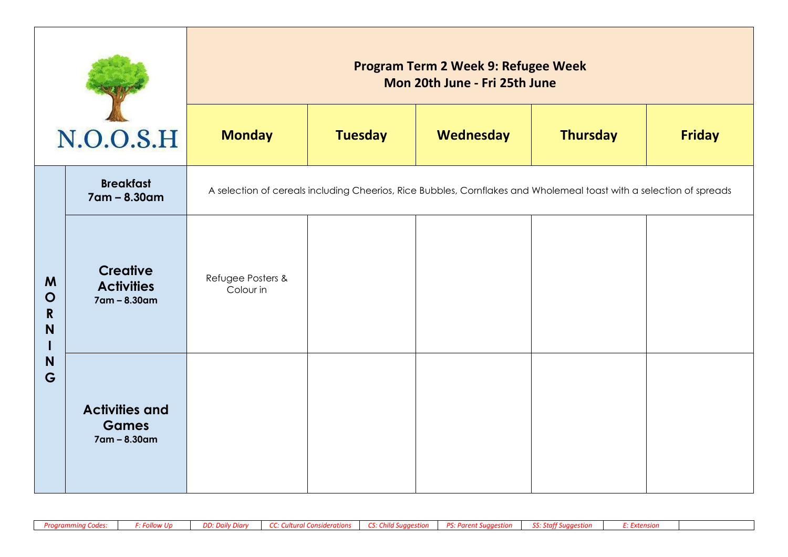| N.O.O.S.H                  |                                                       | Program Term 2 Week 9: Refugee Week<br>Mon 20th June - Fri 25th June |                |                                                                                                                     |                 |               |  |  |
|----------------------------|-------------------------------------------------------|----------------------------------------------------------------------|----------------|---------------------------------------------------------------------------------------------------------------------|-----------------|---------------|--|--|
|                            |                                                       | <b>Monday</b>                                                        | <b>Tuesday</b> | Wednesday                                                                                                           | <b>Thursday</b> | <b>Friday</b> |  |  |
|                            | <b>Breakfast</b><br>7am - 8.30am                      |                                                                      |                | A selection of cereals including Cheerios, Rice Bubbles, Cornflakes and Wholemeal toast with a selection of spreads |                 |               |  |  |
| M<br>$\mathbf O$<br>R<br>N | <b>Creative</b><br><b>Activities</b><br>7am - 8.30am  | Refugee Posters &<br>Colour in                                       |                |                                                                                                                     |                 |               |  |  |
| N<br>G                     | <b>Activities and</b><br><b>Games</b><br>7am - 8.30am |                                                                      |                |                                                                                                                     |                 |               |  |  |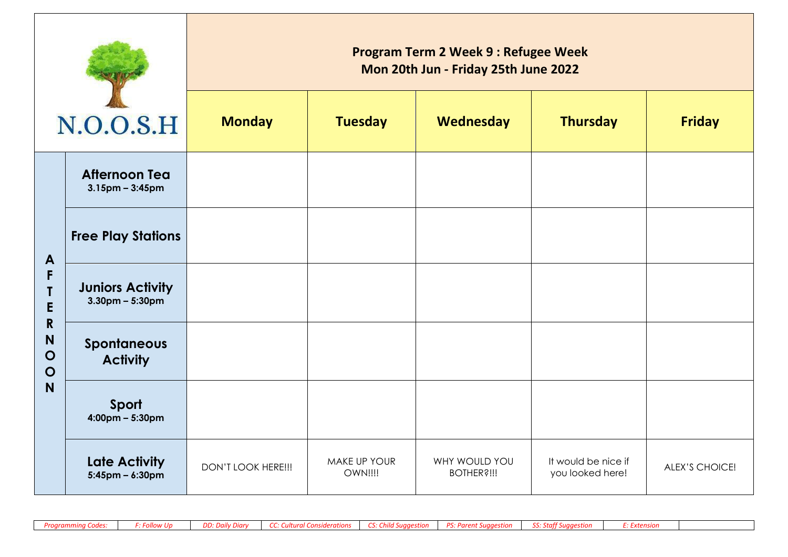|                                                               |                                               | <b>Program Term 2 Week 9 : Refugee Week</b><br>Mon 20th Jun - Friday 25th June 2022 |                         |                                    |                                         |                |  |  |  |
|---------------------------------------------------------------|-----------------------------------------------|-------------------------------------------------------------------------------------|-------------------------|------------------------------------|-----------------------------------------|----------------|--|--|--|
|                                                               | N.O.O.S.H                                     | <b>Monday</b>                                                                       | <b>Tuesday</b>          | Wednesday                          | <b>Thursday</b>                         | <b>Friday</b>  |  |  |  |
|                                                               | <b>Afternoon Tea</b><br>$3.15$ pm – $3:45$ pm |                                                                                     |                         |                                    |                                         |                |  |  |  |
| A                                                             | <b>Free Play Stations</b>                     |                                                                                     |                         |                                    |                                         |                |  |  |  |
| F<br>T<br>E<br>$\mathbf R$<br>N<br>$\mathbf O$<br>$\mathbf O$ | <b>Juniors Activity</b><br>$3.30$ pm – 5:30pm |                                                                                     |                         |                                    |                                         |                |  |  |  |
|                                                               | Spontaneous<br><b>Activity</b>                |                                                                                     |                         |                                    |                                         |                |  |  |  |
| N                                                             | Sport<br>$4:00 \text{pm} - 5:30 \text{pm}$    |                                                                                     |                         |                                    |                                         |                |  |  |  |
|                                                               | <b>Late Activity</b><br>$5:45$ pm – 6:30pm    | DON'T LOOK HERE !!!                                                                 | MAKE UP YOUR<br>OWN!!!! | WHY WOULD YOU<br><b>BOTHER?!!!</b> | It would be nice if<br>you looked here! | ALEX'S CHOICE! |  |  |  |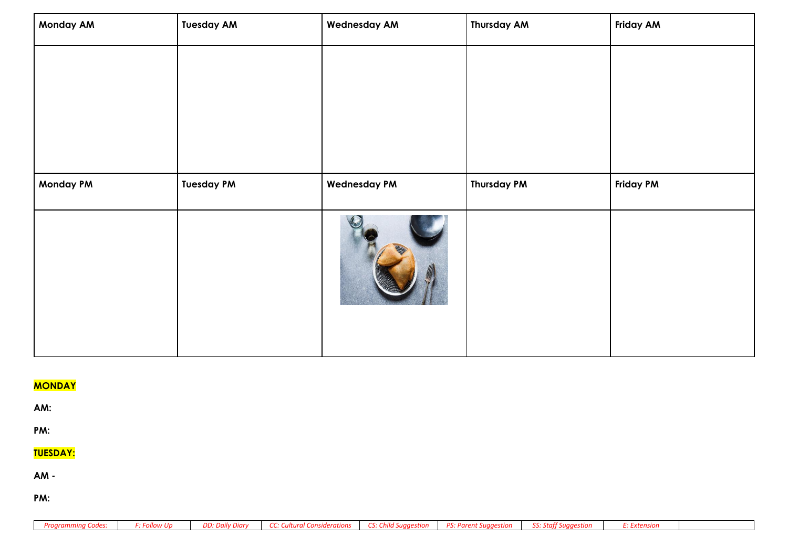| <b>Monday AM</b> | <b>Tuesday AM</b> | <b>Wednesday AM</b> | <b>Thursday AM</b> | <b>Friday AM</b> |
|------------------|-------------------|---------------------|--------------------|------------------|
|                  |                   |                     |                    |                  |
|                  |                   |                     |                    |                  |
|                  |                   |                     |                    |                  |
|                  |                   |                     |                    |                  |
| <b>Monday PM</b> | <b>Tuesday PM</b> | <b>Wednesday PM</b> | <b>Thursday PM</b> | <b>Friday PM</b> |
|                  |                   |                     |                    |                  |

# **MONDAY**

**AM:** 

**PM:** 

# **TUESDAY:**

**AM -**

**PM:** 

|  |  |  | Programming Codes:   F: Follow Up   DD: Daily Diary   CC: Cultural Considerations   CS: Child Suggestion   PS: Parent Suggestion   SS: Staff Suggestion   E: Extension |  |  |  |  |  |
|--|--|--|------------------------------------------------------------------------------------------------------------------------------------------------------------------------|--|--|--|--|--|
|--|--|--|------------------------------------------------------------------------------------------------------------------------------------------------------------------------|--|--|--|--|--|